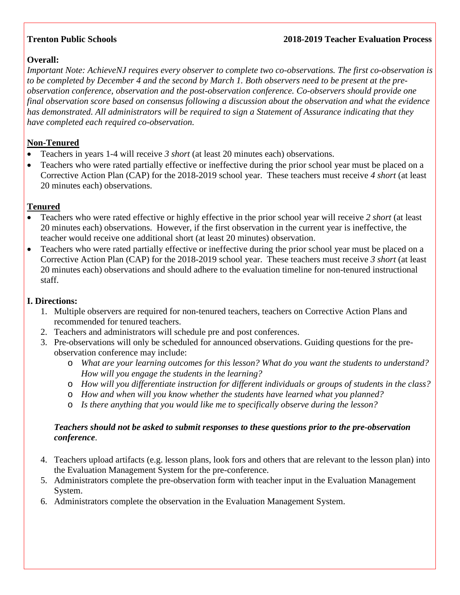## **Trenton Public Schools 2018-2019 Teacher Evaluation Process**

# **Overall:**

*Important Note: AchieveNJ requires every observer to complete two co-observations. The first co-observation is to be completed by December 4 and the second by March 1. Both observers need to be present at the preobservation conference, observation and the post-observation conference. Co-observers should provide one final observation score based on consensus following a discussion about the observation and what the evidence has demonstrated. All administrators will be required to sign a Statement of Assurance indicating that they have completed each required co-observation.*

## **Non-Tenured**

- Teachers in years 1-4 will receive *3 short* (at least 20 minutes each) observations.
- Teachers who were rated partially effective or ineffective during the prior school year must be placed on a Corrective Action Plan (CAP) for the 2018-2019 school year. These teachers must receive *4 short* (at least 20 minutes each) observations.

## **Tenured**

- Teachers who were rated effective or highly effective in the prior school year will receive *2 short* (at least 20 minutes each) observations. However, if the first observation in the current year is ineffective, the teacher would receive one additional short (at least 20 minutes) observation.
- Teachers who were rated partially effective or ineffective during the prior school year must be placed on a Corrective Action Plan (CAP) for the 2018-2019 school year. These teachers must receive *3 short* (at least 20 minutes each) observations and should adhere to the evaluation timeline for non-tenured instructional staff.

# **I. Directions:**

- 1. Multiple observers are required for non-tenured teachers, teachers on Corrective Action Plans and recommended for tenured teachers.
- 2. Teachers and administrators will schedule pre and post conferences.
- 3. Pre-observations will only be scheduled for announced observations. Guiding questions for the preobservation conference may include:
	- o *What are your learning outcomes for this lesson? What do you want the students to understand? How will you engage the students in the learning?*
	- o *How will you differentiate instruction for different individuals or groups of students in the class?*
	- o *How and when will you know whether the students have learned what you planned?*
	- o *Is there anything that you would like me to specifically observe during the lesson?*

## *Teachers should not be asked to submit responses to these questions prior to the pre-observation conference*.

- 4. Teachers upload artifacts (e.g. lesson plans, look fors and others that are relevant to the lesson plan) into the Evaluation Management System for the pre-conference.
- 5. Administrators complete the pre-observation form with teacher input in the Evaluation Management System.
- 6. Administrators complete the observation in the Evaluation Management System.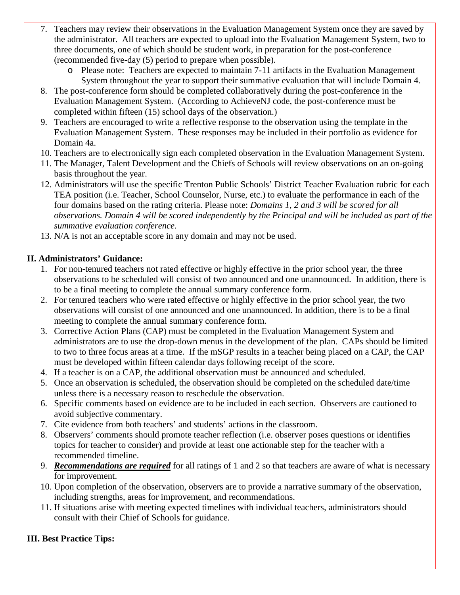- 7. Teachers may review their observations in the Evaluation Management System once they are saved by the administrator. All teachers are expected to upload into the Evaluation Management System, two to three documents, one of which should be student work, in preparation for the post-conference (recommended five-day (5) period to prepare when possible).
	- o Please note: Teachers are expected to maintain 7-11 artifacts in the Evaluation Management System throughout the year to support their summative evaluation that will include Domain 4.
- 8. The post-conference form should be completed collaboratively during the post-conference in the Evaluation Management System. (According to AchieveNJ code, the post-conference must be completed within fifteen (15) school days of the observation.)
- 9. Teachers are encouraged to write a reflective response to the observation using the template in the Evaluation Management System. These responses may be included in their portfolio as evidence for Domain 4a.
- 10. Teachers are to electronically sign each completed observation in the Evaluation Management System.
- 11. The Manager, Talent Development and the Chiefs of Schools will review observations on an on-going basis throughout the year.
- 12. Administrators will use the specific Trenton Public Schools' District Teacher Evaluation rubric for each TEA position (i.e. Teacher, School Counselor, Nurse, etc.) to evaluate the performance in each of the four domains based on the rating criteria. Please note: *Domains 1, 2 and 3 will be scored for all observations. Domain 4 will be scored independently by the Principal and will be included as part of the summative evaluation conference.*
- 13. N/A is not an acceptable score in any domain and may not be used.

## **II. Administrators' Guidance:**

- 1. For non-tenured teachers not rated effective or highly effective in the prior school year, the three observations to be scheduled will consist of two announced and one unannounced. In addition, there is to be a final meeting to complete the annual summary conference form.
- 2. For tenured teachers who were rated effective or highly effective in the prior school year, the two observations will consist of one announced and one unannounced. In addition, there is to be a final meeting to complete the annual summary conference form.
- 3. Corrective Action Plans (CAP) must be completed in the Evaluation Management System and administrators are to use the drop-down menus in the development of the plan. CAPs should be limited to two to three focus areas at a time. If the mSGP results in a teacher being placed on a CAP, the CAP must be developed within fifteen calendar days following receipt of the score.
- 4. If a teacher is on a CAP, the additional observation must be announced and scheduled.
- 5. Once an observation is scheduled, the observation should be completed on the scheduled date/time unless there is a necessary reason to reschedule the observation.
- 6. Specific comments based on evidence are to be included in each section. Observers are cautioned to avoid subjective commentary.
- 7. Cite evidence from both teachers' and students' actions in the classroom.
- 8. Observers' comments should promote teacher reflection (i.e. observer poses questions or identifies topics for teacher to consider) and provide at least one actionable step for the teacher with a recommended timeline.
- 9. *Recommendations are required* for all ratings of 1 and 2 so that teachers are aware of what is necessary for improvement.
- 10. Upon completion of the observation, observers are to provide a narrative summary of the observation, including strengths, areas for improvement, and recommendations.
- 11. If situations arise with meeting expected timelines with individual teachers, administrators should consult with their Chief of Schools for guidance.

## **III. Best Practice Tips:**